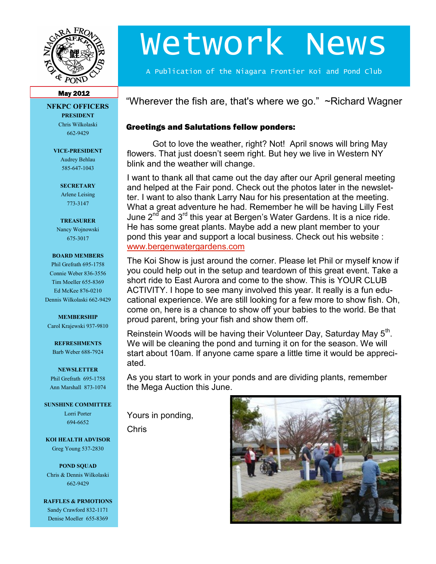

# Wetwork News

A Publication of the Niagara Frontier Koi and Pond Club

#### May 2012

#### **NFKPC OFFICERS PRESIDENT** Chris Wilkolaski

662-9429

#### **VICE-PRESIDENT**

Audrey Behlau 585-647-1043

**SECRETARY** Arlene Leising 773-3147

#### **TREASURER**

Nancy Wojnowski 675-3017

#### **BOARD MEMBERS**

Phil Grefrath 695-1758 Connie Weber 836-3556 Tim Moeller 655-8369 Ed McKee 876-0210 Dennis Wilkolaski 662-9429

#### **MEMBERSHIP**

Carol Krajewski 937-9810

#### **REFRESHMENTS** Barb Weber 688-7924

#### **NEWSLETTER**

Phil Grefrath 695-1758 Ann Marshall 873-1074

#### **SUNSHINE COMMITTEE**

Lorri Porter 694-6652

**KOI HEALTH ADVISOR** Greg Young 537-2830

**POND SQUAD** Chris & Dennis Wilkolaski 662-9429

**RAFFLES & PRMOTIONS** Sandy Crawford 832-1171 Denise Moeller 655-8369

"Wherever the fish are, that's where we go."  $\sim$ Richard Wagner

### Greetings and Salutations fellow ponders:

Got to love the weather, right? Not! April snows will bring May flowers. That just doesn't seem right. But hey we live in Western NY blink and the weather will change.

I want to thank all that came out the day after our April general meeting and helped at the Fair pond. Check out the photos later in the newsletter. I want to also thank Larry Nau for his presentation at the meeting. What a great adventure he had. Remember he will be having Lilly Fest June  $2^{nd}$  and  $3^{rd}$  this year at Bergen's Water Gardens. It is a nice ride. He has some great plants. Maybe add a new plant member to your pond this year and support a local business. Check out his website : [www.bergenwatergardens.com](http://www.bergenwatergardens.com/)

The Koi Show is just around the corner. Please let Phil or myself know if you could help out in the setup and teardown of this great event. Take a short ride to East Aurora and come to the show. This is YOUR CLUB ACTIVITY. I hope to see many involved this year. It really is a fun educational experience. We are still looking for a few more to show fish. Oh, come on, here is a chance to show off your babies to the world. Be that proud parent, bring your fish and show them off.

Reinstein Woods will be having their Volunteer Day, Saturday May  $5<sup>th</sup>$ . We will be cleaning the pond and turning it on for the season. We will start about 10am. If anyone came spare a little time it would be appreciated.

As you start to work in your ponds and are dividing plants, remember the Mega Auction this June.

Yours in ponding,

Chris

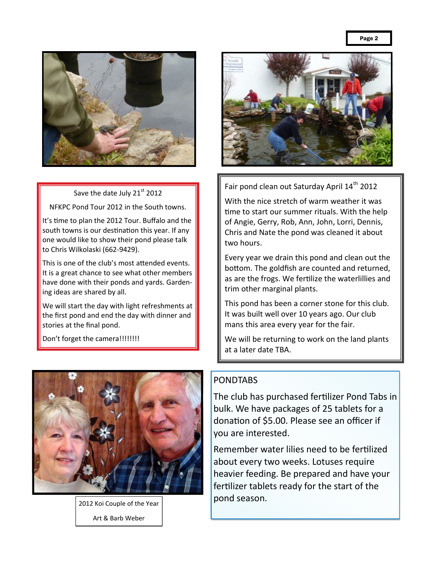

Save the date July 21st 2012

NFKPC Pond Tour 2012 in the South towns.

It's time to plan the 2012 Tour. Buffalo and the south towns is our destination this year. If any one would like to show their pond please talk to Chris Wilkolaski (662-9429).

This is one of the club's most attended events. It is a great chance to see what other members have done with their ponds and yards. Gardening ideas are shared by all.

We will start the day with light refreshments at the first pond and end the day with dinner and stories at the final pond.

Don't forget the camera!!!!!!!!!



2012 Koi Couple of the Year Art & Barb Weber



Fair pond clean out Saturday April 14<sup>th</sup> 2012

With the nice stretch of warm weather it was time to start our summer rituals. With the help of Angie, Gerry, Rob, Ann, John, Lorri, Dennis, Chris and Nate the pond was cleaned it about two hours.

Every year we drain this pond and clean out the bottom. The goldfish are counted and returned, as are the frogs. We fertilize the waterlillies and trim other marginal plants.

This pond has been a corner stone for this club. It was built well over 10 years ago. Our club mans this area every year for the fair.

We will be returning to work on the land plants at a later date TBA.

## PONDTABS

The club has purchased fertilizer Pond Tabs in bulk. We have packages of 25 tablets for a donation of \$5.00. Please see an officer if you are interested.

Remember water lilies need to be fertilized about every two weeks. Lotuses require heavier feeding. Be prepared and have your fertilizer tablets ready for the start of the pond season.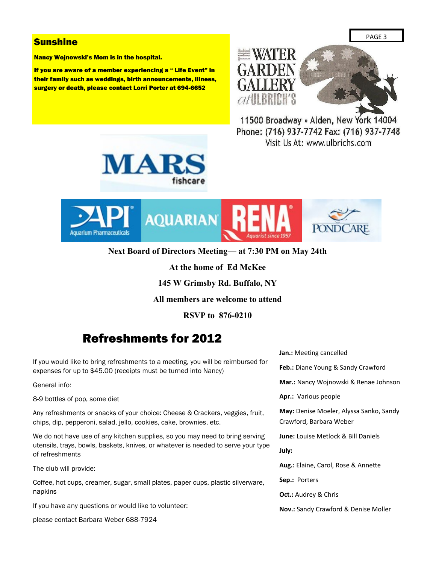## **Sunshine**

Nancy Wojnowski's Mom is in the hospital.

If you are aware of a member experiencing a " Life Event" in their family such as weddings, birth announcements, illness, surgery or death, please contact Lorri Porter at 694-6652



11500 Broadway . Alden, New York 14004 Phone: (716) 937-7742 Fax: (716) 937-7748 Visit Us At: www.ulbrichs.com





**Next Board of Directors Meeting— at 7:30 PM on May 24th**

**At the home of Ed McKee**

**145 W Grimsby Rd. Buffalo, NY**

**All members are welcome to attend**

**RSVP to 876-0210**

# Refreshments for 2012

If you would like to bring refreshments to a meeting, you will be reimbursed for expenses for up to \$45.00 (receipts must be turned into Nancy)

General info:

8-9 bottles of pop, some diet

Any refreshments or snacks of your choice: Cheese & Crackers, veggies, fruit, chips, dip, pepperoni, salad, jello, cookies, cake, brownies, etc.

We do not have use of any kitchen supplies, so you may need to bring serving utensils, trays, bowls, baskets, knives, or whatever is needed to serve your type of refreshments

The club will provide:

Coffee, hot cups, creamer, sugar, small plates, paper cups, plastic silverware, napkins

If you have any questions or would like to volunteer:

please contact Barbara Weber 688-7924

**Jan.:** Meeting cancelled **Feb.:** Diane Young & Sandy Crawford **Mar.:** Nancy Wojnowski & Renae Johnson **Apr.:** Various people **May:** Denise Moeler, Alyssa Sanko, Sandy Crawford, Barbara Weber **June:** Louise Metlock & Bill Daniels **July: Aug.:** Elaine, Carol, Rose & Annette **Sep.:** Porters **Oct.:** Audrey & Chris **Nov.:** Sandy Crawford & Denise Moller